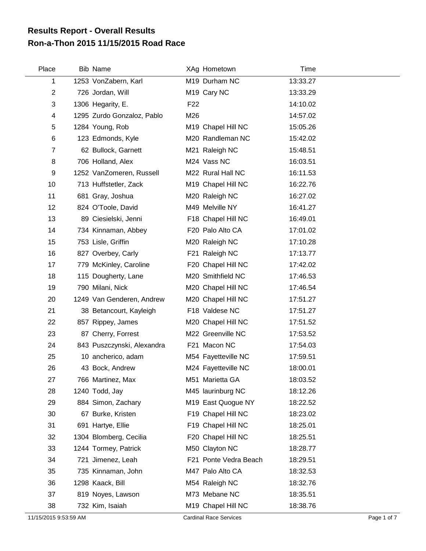## **Ron-a-Thon 2015 11/15/2015 Road Race Results Report - Overall Results**

| Place          | <b>Bib Name</b>            |                 | XAg Hometown            | Time     |  |
|----------------|----------------------------|-----------------|-------------------------|----------|--|
| 1              | 1253 VonZabern, Karl       |                 | M19 Durham NC           | 13:33.27 |  |
| $\overline{2}$ | 726 Jordan, Will           |                 | M <sub>19</sub> Cary NC | 13:33.29 |  |
| 3              | 1306 Hegarity, E.          | F <sub>22</sub> |                         | 14:10.02 |  |
| $\overline{4}$ | 1295 Zurdo Gonzaloz, Pablo | M26             |                         | 14:57.02 |  |
| 5              | 1284 Young, Rob            |                 | M19 Chapel Hill NC      | 15:05.26 |  |
| $\,6$          | 123 Edmonds, Kyle          |                 | M20 Randleman NC        | 15:42.02 |  |
| $\overline{7}$ | 62 Bullock, Garnett        |                 | M21 Raleigh NC          | 15:48.51 |  |
| 8              | 706 Holland, Alex          |                 | M24 Vass NC             | 16:03.51 |  |
| 9              | 1252 VanZomeren, Russell   |                 | M22 Rural Hall NC       | 16:11.53 |  |
| 10             | 713 Huffstetler, Zack      |                 | M19 Chapel Hill NC      | 16:22.76 |  |
| 11             | 681 Gray, Joshua           |                 | M20 Raleigh NC          | 16:27.02 |  |
| 12             | 824 O'Toole, David         |                 | M49 Melville NY         | 16:41.27 |  |
| 13             | 89 Ciesielski, Jenni       |                 | F18 Chapel Hill NC      | 16:49.01 |  |
| 14             | 734 Kinnaman, Abbey        |                 | F20 Palo Alto CA        | 17:01.02 |  |
| 15             | 753 Lisle, Griffin         |                 | M20 Raleigh NC          | 17:10.28 |  |
| 16             | 827 Overbey, Carly         |                 | F21 Raleigh NC          | 17:13.77 |  |
| 17             | 779 McKinley, Caroline     |                 | F20 Chapel Hill NC      | 17:42.02 |  |
| 18             | 115 Dougherty, Lane        |                 | M20 Smithfield NC       | 17:46.53 |  |
| 19             | 790 Milani, Nick           |                 | M20 Chapel Hill NC      | 17:46.54 |  |
| 20             | 1249 Van Genderen, Andrew  |                 | M20 Chapel Hill NC      | 17:51.27 |  |
| 21             | 38 Betancourt, Kayleigh    |                 | F18 Valdese NC          | 17:51.27 |  |
| 22             | 857 Rippey, James          |                 | M20 Chapel Hill NC      | 17:51.52 |  |
| 23             | 87 Cherry, Forrest         |                 | M22 Greenville NC       | 17:53.52 |  |
| 24             | 843 Puszczynski, Alexandra |                 | F21 Macon NC            | 17:54.03 |  |
| 25             | 10 ancherico, adam         |                 | M54 Fayetteville NC     | 17:59.51 |  |
| 26             | 43 Bock, Andrew            |                 | M24 Fayetteville NC     | 18:00.01 |  |
| 27             | 766 Martinez, Max          |                 | M51 Marietta GA         | 18:03.52 |  |
| 28             | 1240 Todd, Jay             |                 | M45 laurinburg NC       | 18:12.26 |  |
| 29             | 884 Simon, Zachary         |                 | M19 East Quogue NY      | 18:22.52 |  |
| 30             | 67 Burke, Kristen          |                 | F19 Chapel Hill NC      | 18:23.02 |  |
| 31             | 691 Hartye, Ellie          |                 | F19 Chapel Hill NC      | 18:25.01 |  |
| 32             | 1304 Blomberg, Cecilia     |                 | F20 Chapel Hill NC      | 18:25.51 |  |
| 33             | 1244 Tormey, Patrick       |                 | M50 Clayton NC          | 18:28.77 |  |
| 34             | 721 Jimenez, Leah          |                 | F21 Ponte Vedra Beach   | 18:29.51 |  |
| 35             | 735 Kinnaman, John         |                 | M47 Palo Alto CA        | 18:32.53 |  |
| 36             | 1298 Kaack, Bill           |                 | M54 Raleigh NC          | 18:32.76 |  |
| 37             | 819 Noyes, Lawson          |                 | M73 Mebane NC           | 18:35.51 |  |
| 38             | 732 Kim, Isaiah            |                 | M19 Chapel Hill NC      | 18:38.76 |  |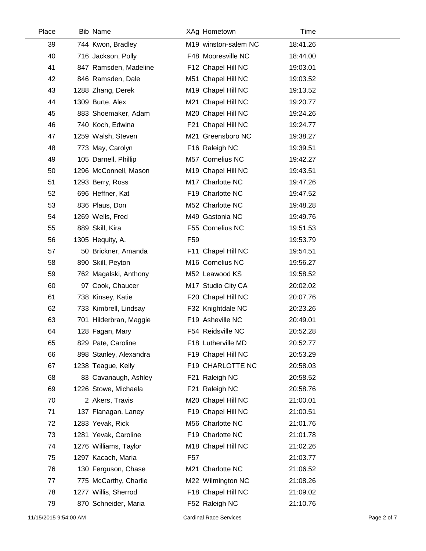| Place | <b>Bib Name</b>        |                 | XAg Hometown         | Time     |  |
|-------|------------------------|-----------------|----------------------|----------|--|
| 39    | 744 Kwon, Bradley      |                 | M19 winston-salem NC | 18:41.26 |  |
| 40    | 716 Jackson, Polly     |                 | F48 Mooresville NC   | 18:44.00 |  |
| 41    | 847 Ramsden, Madeline  |                 | F12 Chapel Hill NC   | 19:03.01 |  |
| 42    | 846 Ramsden, Dale      |                 | M51 Chapel Hill NC   | 19:03.52 |  |
| 43    | 1288 Zhang, Derek      |                 | M19 Chapel Hill NC   | 19:13.52 |  |
| 44    | 1309 Burte, Alex       |                 | M21 Chapel Hill NC   | 19:20.77 |  |
| 45    | 883 Shoemaker, Adam    |                 | M20 Chapel Hill NC   | 19:24.26 |  |
| 46    | 740 Koch, Edwina       |                 | F21 Chapel Hill NC   | 19:24.77 |  |
| 47    | 1259 Walsh, Steven     |                 | M21 Greensboro NC    | 19:38.27 |  |
| 48    | 773 May, Carolyn       |                 | F16 Raleigh NC       | 19:39.51 |  |
| 49    | 105 Darnell, Phillip   |                 | M57 Cornelius NC     | 19:42.27 |  |
| 50    | 1296 McConnell, Mason  |                 | M19 Chapel Hill NC   | 19:43.51 |  |
| 51    | 1293 Berry, Ross       |                 | M17 Charlotte NC     | 19:47.26 |  |
| 52    | 696 Heffner, Kat       |                 | F19 Charlotte NC     | 19:47.52 |  |
| 53    | 836 Plaus, Don         |                 | M52 Charlotte NC     | 19:48.28 |  |
| 54    | 1269 Wells, Fred       |                 | M49 Gastonia NC      | 19:49.76 |  |
| 55    | 889 Skill, Kira        |                 | F55 Cornelius NC     | 19:51.53 |  |
| 56    | 1305 Hequity, A.       | F <sub>59</sub> |                      | 19:53.79 |  |
| 57    | 50 Brickner, Amanda    |                 | F11 Chapel Hill NC   | 19:54.51 |  |
| 58    | 890 Skill, Peyton      |                 | M16 Cornelius NC     | 19:56.27 |  |
| 59    | 762 Magalski, Anthony  |                 | M52 Leawood KS       | 19:58.52 |  |
| 60    | 97 Cook, Chaucer       |                 | M17 Studio City CA   | 20:02.02 |  |
| 61    | 738 Kinsey, Katie      |                 | F20 Chapel Hill NC   | 20:07.76 |  |
| 62    | 733 Kimbrell, Lindsay  |                 | F32 Knightdale NC    | 20:23.26 |  |
| 63    | 701 Hilderbran, Maggie |                 | F19 Asheville NC     | 20:49.01 |  |
| 64    | 128 Fagan, Mary        |                 | F54 Reidsville NC    | 20:52.28 |  |
| 65    | 829 Pate, Caroline     |                 | F18 Lutherville MD   | 20:52.77 |  |
| 66    | 898 Stanley, Alexandra |                 | F19 Chapel Hill NC   | 20:53.29 |  |
| 67    | 1238 Teague, Kelly     |                 | F19 CHARLOTTE NC     | 20:58.03 |  |
| 68    | 83 Cavanaugh, Ashley   |                 | F21 Raleigh NC       | 20:58.52 |  |
| 69    | 1226 Stowe, Michaela   |                 | F21 Raleigh NC       | 20:58.76 |  |
| 70    | 2 Akers, Travis        |                 | M20 Chapel Hill NC   | 21:00.01 |  |
| 71    | 137 Flanagan, Laney    |                 | F19 Chapel Hill NC   | 21:00.51 |  |
| 72    | 1283 Yevak, Rick       |                 | M56 Charlotte NC     | 21:01.76 |  |
| 73    | 1281 Yevak, Caroline   |                 | F19 Charlotte NC     | 21:01.78 |  |
| 74    | 1276 Williams, Taylor  |                 | M18 Chapel Hill NC   | 21:02.26 |  |
| 75    | 1297 Kacach, Maria     | F <sub>57</sub> |                      | 21:03.77 |  |
| 76    | 130 Ferguson, Chase    |                 | M21 Charlotte NC     | 21:06.52 |  |
| 77    | 775 McCarthy, Charlie  |                 | M22 Wilmington NC    | 21:08.26 |  |
| 78    | 1277 Willis, Sherrod   |                 | F18 Chapel Hill NC   | 21:09.02 |  |
| 79    | 870 Schneider, Maria   |                 | F52 Raleigh NC       | 21:10.76 |  |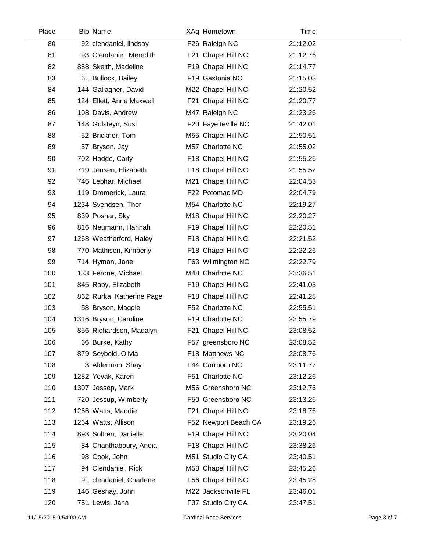| Place | <b>Bib Name</b>           | XAg Hometown         | Time     |  |
|-------|---------------------------|----------------------|----------|--|
| 80    | 92 clendaniel, lindsay    | F26 Raleigh NC       | 21:12.02 |  |
| 81    | 93 Clendaniel, Meredith   | F21 Chapel Hill NC   | 21:12.76 |  |
| 82    | 888 Skeith, Madeline      | F19 Chapel Hill NC   | 21:14.77 |  |
| 83    | 61 Bullock, Bailey        | F19 Gastonia NC      | 21:15.03 |  |
| 84    | 144 Gallagher, David      | M22 Chapel Hill NC   | 21:20.52 |  |
| 85    | 124 Ellett, Anne Maxwell  | F21 Chapel Hill NC   | 21:20.77 |  |
| 86    | 108 Davis, Andrew         | M47 Raleigh NC       | 21:23.26 |  |
| 87    | 148 Golsteyn, Susi        | F20 Fayetteville NC  | 21:42.01 |  |
| 88    | 52 Brickner, Tom          | M55 Chapel Hill NC   | 21:50.51 |  |
| 89    | 57 Bryson, Jay            | M57 Charlotte NC     | 21:55.02 |  |
| 90    | 702 Hodge, Carly          | F18 Chapel Hill NC   | 21:55.26 |  |
| 91    | 719 Jensen, Elizabeth     | F18 Chapel Hill NC   | 21:55.52 |  |
| 92    | 746 Lebhar, Michael       | M21 Chapel Hill NC   | 22:04.53 |  |
| 93    | 119 Dromerick, Laura      | F22 Potomac MD       | 22:04.79 |  |
| 94    | 1234 Svendsen, Thor       | M54 Charlotte NC     | 22:19.27 |  |
| 95    | 839 Poshar, Sky           | M18 Chapel Hill NC   | 22:20.27 |  |
| 96    | 816 Neumann, Hannah       | F19 Chapel Hill NC   | 22:20.51 |  |
| 97    | 1268 Weatherford, Haley   | F18 Chapel Hill NC   | 22:21.52 |  |
| 98    | 770 Mathison, Kimberly    | F18 Chapel Hill NC   | 22:22.26 |  |
| 99    | 714 Hyman, Jane           | F63 Wilmington NC    | 22:22.79 |  |
| 100   | 133 Ferone, Michael       | M48 Charlotte NC     | 22:36.51 |  |
| 101   | 845 Raby, Elizabeth       | F19 Chapel Hill NC   | 22:41.03 |  |
| 102   | 862 Rurka, Katherine Page | F18 Chapel Hill NC   | 22:41.28 |  |
| 103   | 58 Bryson, Maggie         | F52 Charlotte NC     | 22:55.51 |  |
| 104   | 1316 Bryson, Caroline     | F19 Charlotte NC     | 22:55.79 |  |
| 105   | 856 Richardson, Madalyn   | F21 Chapel Hill NC   | 23:08.52 |  |
| 106   | 66 Burke, Kathy           | F57 greensboro NC    | 23:08.52 |  |
| 107   | 879 Seybold, Olivia       | F18 Matthews NC      | 23:08.76 |  |
| 108   | 3 Alderman, Shay          | F44 Carrboro NC      | 23:11.77 |  |
| 109   | 1282 Yevak, Karen         | F51 Charlotte NC     | 23:12.26 |  |
| 110   | 1307 Jessep, Mark         | M56 Greensboro NC    | 23:12.76 |  |
| 111   | 720 Jessup, Wimberly      | F50 Greensboro NC    | 23:13.26 |  |
| 112   | 1266 Watts, Maddie        | F21 Chapel Hill NC   | 23:18.76 |  |
| 113   | 1264 Watts, Allison       | F52 Newport Beach CA | 23:19.26 |  |
| 114   | 893 Soltren, Danielle     | F19 Chapel Hill NC   | 23:20.04 |  |
| 115   | 84 Chanthaboury, Aneia    | F18 Chapel Hill NC   | 23:38.26 |  |
| 116   | 98 Cook, John             | M51 Studio City CA   | 23:40.51 |  |
| 117   | 94 Clendaniel, Rick       | M58 Chapel Hill NC   | 23:45.26 |  |
| 118   | 91 clendaniel, Charlene   | F56 Chapel Hill NC   | 23:45.28 |  |
| 119   | 146 Geshay, John          | M22 Jacksonville FL  | 23:46.01 |  |
| 120   | 751 Lewis, Jana           | F37 Studio City CA   | 23:47.51 |  |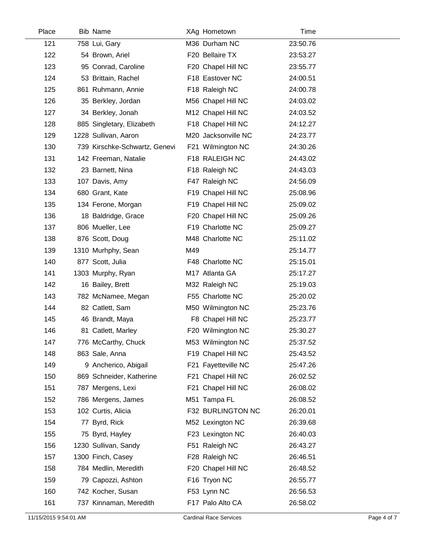| Place | <b>Bib Name</b>               |     | XAg Hometown        | Time     |
|-------|-------------------------------|-----|---------------------|----------|
| 121   | 758 Lui, Gary                 |     | M36 Durham NC       | 23:50.76 |
| 122   | 54 Brown, Ariel               |     | F20 Bellaire TX     | 23:53.27 |
| 123   | 95 Conrad, Caroline           |     | F20 Chapel Hill NC  | 23:55.77 |
| 124   | 53 Brittain, Rachel           |     | F18 Eastover NC     | 24:00.51 |
| 125   | 861 Ruhmann, Annie            |     | F18 Raleigh NC      | 24:00.78 |
| 126   | 35 Berkley, Jordan            |     | M56 Chapel Hill NC  | 24:03.02 |
| 127   | 34 Berkley, Jonah             |     | M12 Chapel Hill NC  | 24:03.52 |
| 128   | 885 Singletary, Elizabeth     |     | F18 Chapel Hill NC  | 24:12.27 |
| 129   | 1228 Sullivan, Aaron          |     | M20 Jacksonville NC | 24:23.77 |
| 130   | 739 Kirschke-Schwartz, Genevi |     | F21 Wilmington NC   | 24:30.26 |
| 131   | 142 Freeman, Natalie          |     | F18 RALEIGH NC      | 24:43.02 |
| 132   | 23 Barnett, Nina              |     | F18 Raleigh NC      | 24:43.03 |
| 133   | 107 Davis, Amy                |     | F47 Raleigh NC      | 24:56.09 |
| 134   | 680 Grant, Kate               |     | F19 Chapel Hill NC  | 25:08.96 |
| 135   | 134 Ferone, Morgan            |     | F19 Chapel Hill NC  | 25:09.02 |
| 136   | 18 Baldridge, Grace           |     | F20 Chapel Hill NC  | 25:09.26 |
| 137   | 806 Mueller, Lee              |     | F19 Charlotte NC    | 25:09.27 |
| 138   | 876 Scott, Doug               |     | M48 Charlotte NC    | 25:11.02 |
| 139   | 1310 Murhphy, Sean            | M49 |                     | 25:14.77 |
| 140   | 877 Scott, Julia              |     | F48 Charlotte NC    | 25:15.01 |
| 141   | 1303 Murphy, Ryan             |     | M17 Atlanta GA      | 25:17.27 |
| 142   | 16 Bailey, Brett              |     | M32 Raleigh NC      | 25:19.03 |
| 143   | 782 McNamee, Megan            |     | F55 Charlotte NC    | 25:20.02 |
| 144   | 82 Catlett, Sam               |     | M50 Wilmington NC   | 25:23.76 |
| 145   | 46 Brandt, Maya               |     | F8 Chapel Hill NC   | 25:23.77 |
| 146   | 81 Catlett, Marley            |     | F20 Wilmington NC   | 25:30.27 |
| 147   | 776 McCarthy, Chuck           |     | M53 Wilmington NC   | 25:37.52 |
| 148   | 863 Sale, Anna                |     | F19 Chapel Hill NC  | 25:43.52 |
| 149   | 9 Ancherico, Abigail          |     | F21 Fayetteville NC | 25:47.26 |
| 150   | 869 Schneider, Katherine      |     | F21 Chapel Hill NC  | 26:02.52 |
| 151   | 787 Mergens, Lexi             |     | F21 Chapel Hill NC  | 26:08.02 |
| 152   | 786 Mergens, James            |     | M51 Tampa FL        | 26:08.52 |
| 153   | 102 Curtis, Alicia            |     | F32 BURLINGTON NC   | 26:20.01 |
| 154   | 77 Byrd, Rick                 |     | M52 Lexington NC    | 26:39.68 |
| 155   | 75 Byrd, Hayley               |     | F23 Lexington NC    | 26:40.03 |
| 156   | 1230 Sullivan, Sandy          |     | F51 Raleigh NC      | 26:43.27 |
| 157   | 1300 Finch, Casey             |     | F28 Raleigh NC      | 26:46.51 |
| 158   | 784 Medlin, Meredith          |     | F20 Chapel Hill NC  | 26:48.52 |
| 159   | 79 Capozzi, Ashton            |     | F16 Tryon NC        | 26:55.77 |
| 160   | 742 Kocher, Susan             |     | F53 Lynn NC         | 26:56.53 |
| 161   | 737 Kinnaman, Meredith        |     | F17 Palo Alto CA    | 26:58.02 |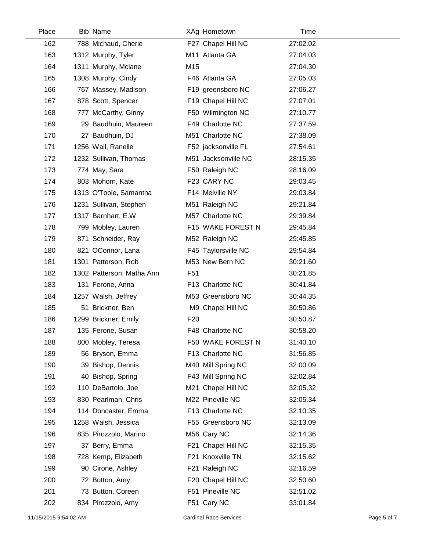| Place | <b>Bib Name</b>           |                 | XAg Hometown        | Time     |  |
|-------|---------------------------|-----------------|---------------------|----------|--|
| 162   | 788 Michaud, Cherie       |                 | F27 Chapel Hill NC  | 27:02.02 |  |
| 163   | 1312 Murphy, Tyler        |                 | M11 Atlanta GA      | 27:04.03 |  |
| 164   | 1311 Murphy, Mclane       | M15             |                     | 27:04.30 |  |
| 165   | 1308 Murphy, Cindy        |                 | F46 Atlanta GA      | 27:05.03 |  |
| 166   | 767 Massey, Madison       |                 | F19 greensboro NC   | 27:06.27 |  |
| 167   | 878 Scott, Spencer        |                 | F19 Chapel Hill NC  | 27:07.01 |  |
| 168   | 777 McCarthy, Ginny       |                 | F50 Wilmington NC   | 27:10.77 |  |
| 169   | 29 Baudhuin, Maureen      |                 | F49 Charlotte NC    | 27:37.59 |  |
| 170   | 27 Baudhuin, DJ           |                 | M51 Charlotte NC    | 27:38.09 |  |
| 171   | 1256 Wall, Ranelle        |                 | F52 jacksonville FL | 27:54.61 |  |
| 172   | 1232 Sullivan, Thomas     |                 | M51 Jacksonville NC | 28:15.35 |  |
| 173   | 774 May, Sara             |                 | F50 Raleigh NC      | 28:16.09 |  |
| 174   | 803 Mohorn, Kate          |                 | F23 CARY NC         | 29:03.45 |  |
| 175   | 1313 O'Toole, Samantha    |                 | F14 Melville NY     | 29:03.84 |  |
| 176   | 1231 Sullivan, Stephen    |                 | M51 Raleigh NC      | 29:21.84 |  |
| 177   | 1317 Barnhart, E.W        |                 | M57 Charlotte NC    | 29:39.84 |  |
| 178   | 799 Mobley, Lauren        |                 | F15 WAKE FOREST N   | 29:45.84 |  |
| 179   | 871 Schneider, Ray        |                 | M52 Raleigh NC      | 29:45.85 |  |
| 180   | 821 OConnor, Lana         |                 | F45 Taylorsville NC | 29:54.84 |  |
| 181   | 1301 Patterson, Rob       |                 | M53 New Bern NC     | 30:21.60 |  |
| 182   | 1302 Patterson, Matha Ann | F <sub>51</sub> |                     | 30:21.85 |  |
| 183   | 131 Ferone, Anna          |                 | F13 Charlotte NC    | 30:41.84 |  |
| 184   | 1257 Walsh, Jeffrey       |                 | M53 Greensboro NC   | 30:44.35 |  |
| 185   | 51 Brickner, Ben          |                 | M9 Chapel Hill NC   | 30:50.86 |  |
| 186   | 1299 Brickner, Emily      | F <sub>20</sub> |                     | 30:50.87 |  |
| 187   | 135 Ferone, Susan         |                 | F48 Charlotte NC    | 30:58.20 |  |
| 188   | 800 Mobley, Teresa        |                 | F50 WAKE FOREST N   | 31:40.10 |  |
| 189   | 56 Bryson, Emma           |                 | F13 Charlotte NC    | 31:56.85 |  |
| 190   | 39 Bishop, Dennis         |                 | M40 Mill Spring NC  | 32:00.09 |  |
| 191   | 40 Bishop, Spring         |                 | F43 Mill Spring NC  | 32:02.84 |  |
| 192   | 110 DeBartolo, Joe        |                 | M21 Chapel Hill NC  | 32:05.32 |  |
| 193   | 830 Pearlman, Chris       |                 | M22 Pineville NC    | 32:05.34 |  |
| 194   | 114 Doncaster, Emma       |                 | F13 Charlotte NC    | 32:10.35 |  |
| 195   | 1258 Walsh, Jessica       |                 | F55 Greensboro NC   | 32:13.09 |  |
| 196   | 835 Pirozzolo, Marino     |                 | M56 Cary NC         | 32:14.36 |  |
| 197   | 37 Berry, Emma            |                 | F21 Chapel Hill NC  | 32:15.35 |  |
| 198   | 728 Kemp, Elizabeth       |                 | F21 Knoxville TN    | 32:15.62 |  |
| 199   | 90 Cirone, Ashley         |                 | F21 Raleigh NC      | 32:16.59 |  |
| 200   | 72 Button, Amy            |                 | F20 Chapel Hill NC  | 32:50.60 |  |
| 201   | 73 Button, Coreen         |                 | F51 Pineville NC    | 32:51.02 |  |
| 202   | 834 Pirozzolo, Amy        |                 | F51 Cary NC         | 33:01.84 |  |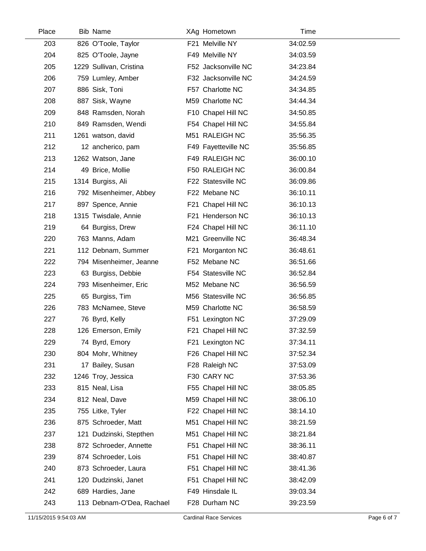| Place | <b>Bib Name</b>           | XAg Hometown        | Time     |  |
|-------|---------------------------|---------------------|----------|--|
| 203   | 826 O'Toole, Taylor       | F21 Melville NY     | 34:02.59 |  |
| 204   | 825 O'Toole, Jayne        | F49 Melville NY     | 34:03.59 |  |
| 205   | 1229 Sullivan, Cristina   | F52 Jacksonville NC | 34:23.84 |  |
| 206   | 759 Lumley, Amber         | F32 Jacksonville NC | 34:24.59 |  |
| 207   | 886 Sisk, Toni            | F57 Charlotte NC    | 34:34.85 |  |
| 208   | 887 Sisk, Wayne           | M59 Charlotte NC    | 34:44.34 |  |
| 209   | 848 Ramsden, Norah        | F10 Chapel Hill NC  | 34:50.85 |  |
| 210   | 849 Ramsden, Wendi        | F54 Chapel Hill NC  | 34:55.84 |  |
| 211   | 1261 watson, david        | M51 RALEIGH NC      | 35:56.35 |  |
| 212   | 12 ancherico, pam         | F49 Fayetteville NC | 35:56.85 |  |
| 213   | 1262 Watson, Jane         | F49 RALEIGH NC      | 36:00.10 |  |
| 214   | 49 Brice, Mollie          | F50 RALEIGH NC      | 36:00.84 |  |
| 215   | 1314 Burgiss, Ali         | F22 Statesville NC  | 36:09.86 |  |
| 216   | 792 Misenheimer, Abbey    | F22 Mebane NC       | 36:10.11 |  |
| 217   | 897 Spence, Annie         | F21 Chapel Hill NC  | 36:10.13 |  |
| 218   | 1315 Twisdale, Annie      | F21 Henderson NC    | 36:10.13 |  |
| 219   | 64 Burgiss, Drew          | F24 Chapel Hill NC  | 36:11.10 |  |
| 220   | 763 Manns, Adam           | M21 Greenville NC   | 36:48.34 |  |
| 221   | 112 Debnam, Summer        | F21 Morganton NC    | 36:48.61 |  |
| 222   | 794 Misenheimer, Jeanne   | F52 Mebane NC       | 36:51.66 |  |
| 223   | 63 Burgiss, Debbie        | F54 Statesville NC  | 36:52.84 |  |
| 224   | 793 Misenheimer, Eric     | M52 Mebane NC       | 36:56.59 |  |
| 225   | 65 Burgiss, Tim           | M56 Statesville NC  | 36:56.85 |  |
| 226   | 783 McNamee, Steve        | M59 Charlotte NC    | 36:58.59 |  |
| 227   | 76 Byrd, Kelly            | F51 Lexington NC    | 37:29.09 |  |
| 228   | 126 Emerson, Emily        | F21 Chapel Hill NC  | 37:32.59 |  |
| 229   | 74 Byrd, Emory            | F21 Lexington NC    | 37:34.11 |  |
| 230   | 804 Mohr, Whitney         | F26 Chapel Hill NC  | 37:52.34 |  |
| 231   | 17 Bailey, Susan          | F28 Raleigh NC      | 37:53.09 |  |
| 232   | 1246 Troy, Jessica        | F30 CARY NC         | 37:53.36 |  |
| 233   | 815 Neal, Lisa            | F55 Chapel Hill NC  | 38:05.85 |  |
| 234   | 812 Neal, Dave            | M59 Chapel Hill NC  | 38:06.10 |  |
| 235   | 755 Litke, Tyler          | F22 Chapel Hill NC  | 38:14.10 |  |
| 236   | 875 Schroeder, Matt       | M51 Chapel Hill NC  | 38:21.59 |  |
| 237   | 121 Dudzinski, Stepthen   | M51 Chapel Hill NC  | 38:21.84 |  |
| 238   | 872 Schroeder, Annette    | F51 Chapel Hill NC  | 38:36.11 |  |
| 239   | 874 Schroeder, Lois       | F51 Chapel Hill NC  | 38:40.87 |  |
| 240   | 873 Schroeder, Laura      | F51 Chapel Hill NC  | 38:41.36 |  |
| 241   | 120 Dudzinski, Janet      | F51 Chapel Hill NC  | 38:42.09 |  |
| 242   | 689 Hardies, Jane         | F49 Hinsdale IL     | 39:03.34 |  |
| 243   | 113 Debnam-O'Dea, Rachael | F28 Durham NC       | 39:23.59 |  |